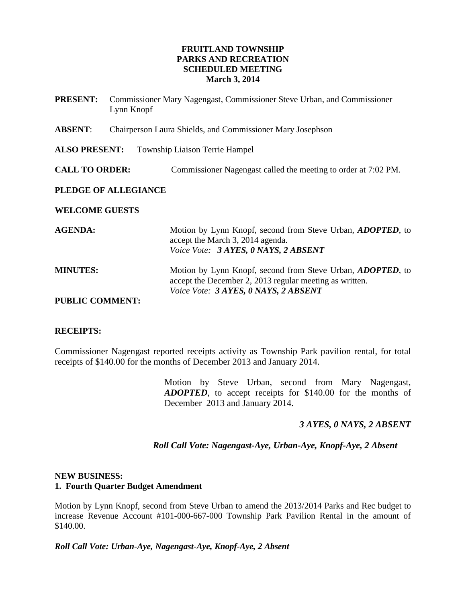# **FRUITLAND TOWNSHIP PARKS AND RECREATION SCHEDULED MEETING March 3, 2014**

| <b>PRESENT:</b>                                               | <b>Commissioner Mary Nagengast, Commissioner Steve Urban, and Commissioner</b><br>Lynn Knopf |                                                                                                                                                                       |
|---------------------------------------------------------------|----------------------------------------------------------------------------------------------|-----------------------------------------------------------------------------------------------------------------------------------------------------------------------|
| <b>ABSENT:</b>                                                | Chairperson Laura Shields, and Commissioner Mary Josephson                                   |                                                                                                                                                                       |
| <b>ALSO PRESENT:</b><br><b>Township Liaison Terrie Hampel</b> |                                                                                              |                                                                                                                                                                       |
| <b>CALL TO ORDER:</b>                                         |                                                                                              | Commissioner Nagengast called the meeting to order at 7:02 PM.                                                                                                        |
| PLEDGE OF ALLEGIANCE                                          |                                                                                              |                                                                                                                                                                       |
| <b>WELCOME GUESTS</b>                                         |                                                                                              |                                                                                                                                                                       |
| <b>AGENDA:</b>                                                |                                                                                              | Motion by Lynn Knopf, second from Steve Urban, <i>ADOPTED</i> , to<br>accept the March 3, 2014 agenda.<br>Voice Vote: 3 AYES, 0 NAYS, 2 ABSENT                        |
| <b>MINUTES:</b>                                               |                                                                                              | Motion by Lynn Knopf, second from Steve Urban, <i>ADOPTED</i> , to<br>accept the December 2, 2013 regular meeting as written.<br>Voice Vote: 3 AYES, 0 NAYS, 2 ABSENT |
| <b>PUBLIC COMMENT:</b>                                        |                                                                                              |                                                                                                                                                                       |

#### **RECEIPTS:**

Commissioner Nagengast reported receipts activity as Township Park pavilion rental, for total receipts of \$140.00 for the months of December 2013 and January 2014.

> Motion by Steve Urban, second from Mary Nagengast, *ADOPTED*, to accept receipts for \$140.00 for the months of December 2013 and January 2014.

# *3 AYES, 0 NAYS, 2 ABSENT*

# *Roll Call Vote: Nagengast-Aye, Urban-Aye, Knopf-Aye, 2 Absent*

#### **NEW BUSINESS: 1. Fourth Quarter Budget Amendment**

Motion by Lynn Knopf, second from Steve Urban to amend the 2013/2014 Parks and Rec budget to increase Revenue Account #101-000-667-000 Township Park Pavilion Rental in the amount of \$140.00.

*Roll Call Vote: Urban-Aye, Nagengast-Aye, Knopf-Aye, 2 Absent*